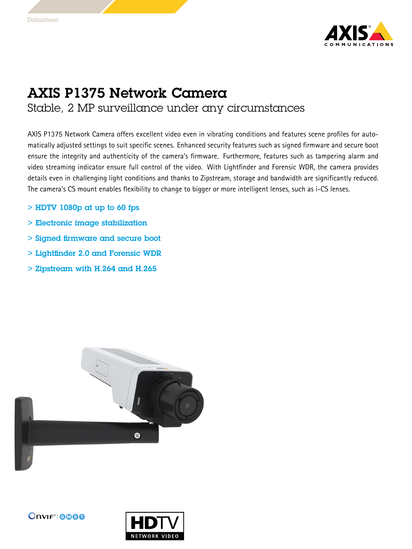

## AXIS P1375 Network Camera

Stable, 2 MP surveillance under any circumstances

AXIS P1375 Network Camera offers excellent video even in vibrating conditions and features scene profiles for automatically adjusted settings to suit specific scenes. Enhanced security features such as signed firmware and secure boot ensure the integrity and authenticity of the camera's firmware. Furthermore, features such as tampering alarm and video streaming indicator ensure full control of the video. With Lightfinder and Forensic WDR, the camera provides details even in challenging light conditions and thanks to Zipstream, storage and bandwidth are significantly reduced. The camera's CS mount enables flexibility to change to bigger or more intelligent lenses, such as i-CS lenses.

- $>$  HDTV 1080p at up to 60 fps
- > Electronic image stabilization
- > Signed firmware and secure boot
- > Lightfinder 2.0 and Forensic WDR
- $>$  Zipstream with H.264 and H.265  $\,$





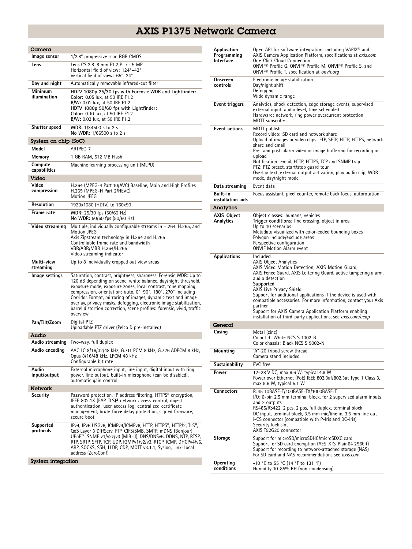## AXIS P1375 Network Camera

| Camera                  |                                                                                                                                                                                                                                                                                                                                                                                                                                                                                                 |
|-------------------------|-------------------------------------------------------------------------------------------------------------------------------------------------------------------------------------------------------------------------------------------------------------------------------------------------------------------------------------------------------------------------------------------------------------------------------------------------------------------------------------------------|
| Image sensor            | 1/2.8" progressive scan RGB CMOS                                                                                                                                                                                                                                                                                                                                                                                                                                                                |
| Lens                    | Lens CS 2.8-8 mm F1.2 P-Iris 5 MP<br>Horizontal field of view: 124°-42°<br>Vertical field of view: 65°–24°                                                                                                                                                                                                                                                                                                                                                                                      |
| Day and night           | Automatically removable infrared-cut filter                                                                                                                                                                                                                                                                                                                                                                                                                                                     |
| Minimum<br>illumination | HDTV 1080p 25/30 fps with Forensic WDR and Lightfinder:<br>Color: 0.05 lux, at 50 IRE F1.2<br>B/W: 0.01 lux, at 50 IRE F1.2<br>HDTV 1080p 50/60 fps with Lightfinder:<br>Color: 0.10 lux, at 50 IRE F1.2<br>B/W: 0.02 lux, at 50 IRE F1.2                                                                                                                                                                                                                                                       |
| Shutter speed           | WDR: 1/34500 s to 2 s<br>No WDR: 1/66500 s to 2 s                                                                                                                                                                                                                                                                                                                                                                                                                                               |
| System on chip (SoC)    |                                                                                                                                                                                                                                                                                                                                                                                                                                                                                                 |
| Model                   | ARTPEC-7                                                                                                                                                                                                                                                                                                                                                                                                                                                                                        |
| Memory                  | 1 GB RAM, 512 MB Flash                                                                                                                                                                                                                                                                                                                                                                                                                                                                          |
| Compute<br>capabilities | Machine learning processing unit (MLPU)                                                                                                                                                                                                                                                                                                                                                                                                                                                         |
| Video                   |                                                                                                                                                                                                                                                                                                                                                                                                                                                                                                 |
| Video<br>compression    | H.264 (MPEG-4 Part 10/AVC) Baseline, Main and High Profiles<br>H.265 (MPEG-H Part 2/HEVC)<br>Motion JPEG                                                                                                                                                                                                                                                                                                                                                                                        |
| Resolution              | 1920x1080 (HDTV) to 160x90                                                                                                                                                                                                                                                                                                                                                                                                                                                                      |
| Frame rate              | WDR: 25/30 fps (50/60 Hz)<br>No WDR: 50/60 fps (50/60 Hz)                                                                                                                                                                                                                                                                                                                                                                                                                                       |
| Video streaming         | Multiple, individually configurable streams in H.264, H.265, and<br>Motion JPEG<br>Axis Zipstream technology in H.264 and H.265<br>Controllable frame rate and bandwidth<br>VBR/ABR/MBR H.264/H.265<br>Video streaming indicator                                                                                                                                                                                                                                                                |
| Multi-view<br>streaming | Up to 8 individually cropped out view areas                                                                                                                                                                                                                                                                                                                                                                                                                                                     |
| Image settings          | Saturation, contrast, brightness, sharpness, Forensic WDR: Up to<br>120 dB depending on scene, white balance, day/night threshold,<br>exposure mode, exposure zones, local contrast, tone mapping,<br>compression, orientation: auto, 0°, 90°, 180°, 270° including<br>Corridor Format, mirroring of images, dynamic text and image<br>overlay, privacy masks, defogging, electronic image stabilization,<br>barrel distortion correction, scene profiles: forensic, vivid, traffic<br>overview |
| Pan/Tilt/Zoom           | Digital PTZ<br>Uploadable PTZ driver (Pelco D pre-installed)                                                                                                                                                                                                                                                                                                                                                                                                                                    |
| Audio                   |                                                                                                                                                                                                                                                                                                                                                                                                                                                                                                 |
| Audio streaming         | Two-way, full duplex                                                                                                                                                                                                                                                                                                                                                                                                                                                                            |
| Audio encoding          | AAC LC 8/16/32/48 kHz, G.711 PCM 8 kHz, G.726 ADPCM 8 kHz,<br>Opus 8/16/48 kHz, LPCM 48 kHz<br>Configurable bit rate                                                                                                                                                                                                                                                                                                                                                                            |
| Audio<br>input/output   | External microphone input, line input, digital input with ring<br>power, line output, built-in microphone (can be disabled),<br>automatic gain control                                                                                                                                                                                                                                                                                                                                          |
| Network                 |                                                                                                                                                                                                                                                                                                                                                                                                                                                                                                 |
| Security                | Password protection, IP address filtering, HTTPS <sup>a</sup> encryption,<br>IEEE 802.1X (EAP-TLS) <sup>a</sup> network access control, digest<br>authentication, user access log, centralized certificate<br>management, brute force delay protection, signed firmware,<br>secure boot                                                                                                                                                                                                         |
| Supported<br>protocols  | IPv4, IPv6 USGv6, ICMPv4/ICMPv6, HTTP, HTTPS <sup>a</sup> , HTTP/2, TLS <sup>a</sup> ,<br>QoS Layer 3 DiffServ, FTP, CIFS/SMB, SMTP, mDNS (Bonjour),<br>UPnP™, SNMP v1/v2c/v3 (MIB-II), DNS/DNSv6, DDNS, NTP, RTSP,<br>RTP, SRTP, SFTP, TCP, UDP, IGMPv1/v2/v3, RTCP, ICMP, DHCPv4/v6,<br>ARP, SOCKS, SSH, LLDP, CDP, MQTT v3.1.1, Syslog, Link-Local<br>address (ZeroConf)                                                                                                                     |
| System integration      |                                                                                                                                                                                                                                                                                                                                                                                                                                                                                                 |
|                         |                                                                                                                                                                                                                                                                                                                                                                                                                                                                                                 |

| Application<br>Programming<br><b>Interface</b> | Open API for software integration, including VAPIX <sup>®</sup> and<br>AXIS Camera Application Platform, specifications at <i>axis.com</i><br>One-Click Cloud Connection<br>ONVIF® Profile G, ONVIF® Profile M, ONVIF® Profile S, and<br>ONVIF <sup>®</sup> Profile T, specification at onvif.org                                                                                                                                                                                                                 |
|------------------------------------------------|-------------------------------------------------------------------------------------------------------------------------------------------------------------------------------------------------------------------------------------------------------------------------------------------------------------------------------------------------------------------------------------------------------------------------------------------------------------------------------------------------------------------|
| Onscreen<br>controls                           | Electronic image stabilization<br>Day/night shift<br>Defogging<br>Wide dynamic range                                                                                                                                                                                                                                                                                                                                                                                                                              |
| Event triggers                                 | Analytics, shock detection, edge storage events, supervised<br>external input, audio level, time scheduled<br>Hardware: network, ring power overcurrent protection<br>MQTT subscribe                                                                                                                                                                                                                                                                                                                              |
| <b>Event actions</b>                           | MQTT publish<br>Record video: SD card and network share<br>Upload of images or video clips: FTP, SFTP, HTTP, HTTPS, network<br>share and email<br>Pre- and post-alarm video or image buffering for recording or<br>upload<br>Notification: email, HTTP, HTTPS, TCP and SNMP trap<br>PTZ: PTZ preset, start/stop quard tour<br>Overlay text, external output activation, play audio clip, WDR<br>mode, day/night mode                                                                                              |
| Data streaming                                 | Event data                                                                                                                                                                                                                                                                                                                                                                                                                                                                                                        |
| Built-in<br>installation aids                  | Focus assistant, pixel counter, remote back focus, autorotation                                                                                                                                                                                                                                                                                                                                                                                                                                                   |
| Analytics                                      |                                                                                                                                                                                                                                                                                                                                                                                                                                                                                                                   |
| <b>AXIS Object</b><br>Analytics                | Object classes: humans, vehicles<br>Trigger conditions: line crossing, object in area<br>Up to 10 scenarios<br>Metadata visualized with color-coded bounding boxes<br>Polygon include/exclude areas<br>Perspective configuration<br><b>ONVIF Motion Alarm event</b>                                                                                                                                                                                                                                               |
| Applications                                   | Included<br><b>AXIS Object Analytics</b><br>AXIS Video Motion Detection, AXIS Motion Guard,<br>AXIS Fence Guard, AXIS Loitering Guard, active tampering alarm,<br>audio detection<br>Supported<br><b>AXIS Live Privacy Shield</b><br>Support for additional applications if the device is used with<br>compatible accessories. For more information, contact your Axis<br>partner.<br>Support for AXIS Camera Application Platform enabling<br>installation of third-party applications, see <i>axis.com/acap</i> |
| General                                        |                                                                                                                                                                                                                                                                                                                                                                                                                                                                                                                   |
| Casing                                         | Metal (zinc)<br>Color lid: White NCS S 1002-B<br>Color chassis: Black NCS S 9002-N                                                                                                                                                                                                                                                                                                                                                                                                                                |
| Mounting                                       | 1/4"-20 tripod screw thread<br>Camera stand included                                                                                                                                                                                                                                                                                                                                                                                                                                                              |
| Sustainability                                 | PVC free                                                                                                                                                                                                                                                                                                                                                                                                                                                                                                          |
| Power                                          | 12-28 V DC, max 9.6 W, typical 4.9 W<br>Power over Ethernet (PoE) IEEE 802.3af/802.3at Type 1 Class 3,<br>max 9.6 W, typical 5.1 W                                                                                                                                                                                                                                                                                                                                                                                |
| <b>Connectors</b>                              | RJ45 10BASE-T/100BASE-TX/1000BASE-T<br>I/O: 6-pin 2.5 mm terminal block, for 2 supervised alarm inputs<br>and 2 outputs<br>RS485/RS422, 2 pcs, 2 pos, full duplex, terminal block<br>DC input, terminal block, 3.5 mm mic/line in, 3.5 mm line out<br>i-CS connector (compatible with P-Iris and DC-iris)<br>Security lock slot<br>AXIS T92G20 connector                                                                                                                                                          |
| Storage                                        | Support for microSD/microSDHC/microSDXC card<br>Support for SD card encryption (AES-XTS-Plain64 256bit)<br>Support for recording to network-attached storage (NAS)<br>For SD card and NAS recommendations see axis.com                                                                                                                                                                                                                                                                                            |
| Operating<br>conditions                        | -10 °C to 55 °C (14 °F to 131 °F)<br>Humidity 10-85% RH (non-condensing)                                                                                                                                                                                                                                                                                                                                                                                                                                          |